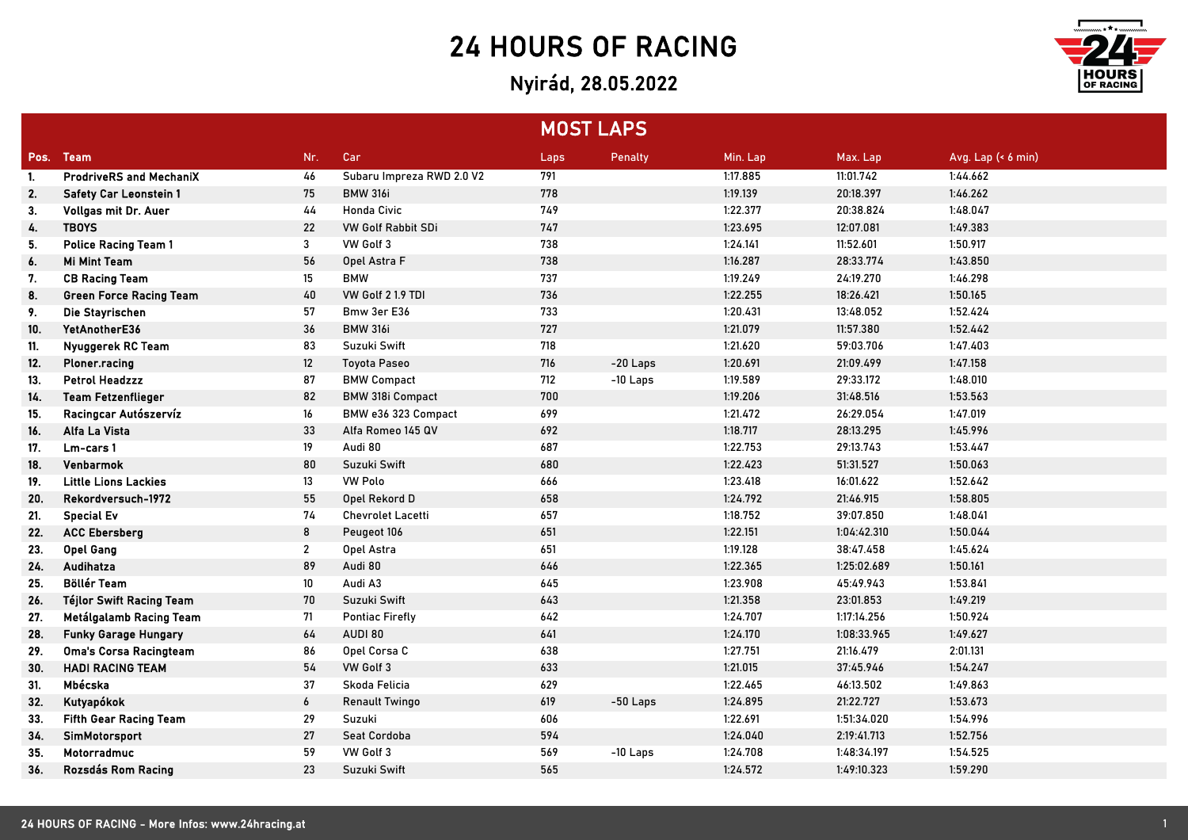## 24 HOURS OF RACING

## Nyirád, 28.05.2022



|      |                                 |                   |                           | <b>MOST LAPS</b> |            |          |             |                     |
|------|---------------------------------|-------------------|---------------------------|------------------|------------|----------|-------------|---------------------|
| Pos. | <b>Team</b>                     | Nr.               | Car                       | Laps             | Penalty    | Min. Lap | Max. Lap    | Avg. Lap $(46$ min) |
| -1.  | <b>ProdriveRS and MechaniX</b>  | 46                | Subaru Impreza RWD 2.0 V2 | 791              |            | 1:17.885 | 11:01.742   | 1:44.662            |
| 2.   | <b>Safety Car Leonstein 1</b>   | 75                | <b>BMW 316i</b>           | 778              |            | 1:19.139 | 20:18.397   | 1:46.262            |
| 3.   | Vollgas mit Dr. Auer            | 44                | <b>Honda Civic</b>        | 749              |            | 1:22.377 | 20:38.824   | 1:48.047            |
| 4.   | <b>TBOYS</b>                    | 22                | <b>VW Golf Rabbit SDi</b> | 747              |            | 1:23.695 | 12:07.081   | 1:49.383            |
| 5.   | <b>Police Racing Team 1</b>     | 3                 | VW Golf 3                 | 738              |            | 1:24.141 | 11:52.601   | 1:50.917            |
| 6.   | <b>Mi Mint Team</b>             | 56                | Opel Astra F              | 738              |            | 1:16.287 | 28:33.774   | 1:43.850            |
| 7.   | <b>CB Racing Team</b>           | 15                | <b>BMW</b>                | 737              |            | 1:19.249 | 24:19.270   | 1:46.298            |
| 8.   | <b>Green Force Racing Team</b>  | 40                | VW Golf 2 1.9 TDI         | 736              |            | 1:22.255 | 18:26.421   | 1:50.165            |
| 9.   | Die Stayrischen                 | 57                | Bmw 3er E36               | 733              |            | 1:20.431 | 13:48.052   | 1:52.424            |
| 10.  | YetAnotherE36                   | 36                | <b>BMW 316i</b>           | 727              |            | 1:21.079 | 11:57.380   | 1:52.442            |
| 11.  | Nyuggerek RC Team               | 83                | Suzuki Swift              | 718              |            | 1:21.620 | 59:03.706   | 1:47.403            |
| 12.  | Ploner.racing                   | $12 \overline{ }$ | <b>Toyota Paseo</b>       | 716              | $-20$ Laps | 1:20.691 | 21:09.499   | 1:47.158            |
| 13.  | <b>Petrol Headzzz</b>           | 87                | <b>BMW Compact</b>        | 712              | $-10$ Laps | 1:19.589 | 29:33.172   | 1:48.010            |
| 14.  | <b>Team Fetzenflieger</b>       | 82                | <b>BMW 318i Compact</b>   | 700              |            | 1:19.206 | 31:48.516   | 1:53.563            |
| 15.  | Racingcar Autószervíz           | 16                | BMW e36 323 Compact       | 699              |            | 1:21.472 | 26:29.054   | 1:47.019            |
| 16.  | Alfa La Vista                   | 33                | Alfa Romeo 145 QV         | 692              |            | 1:18.717 | 28:13.295   | 1:45.996            |
| 17.  | Lm-cars 1                       | 19                | Audi 80                   | 687              |            | 1:22.753 | 29:13.743   | 1:53.447            |
| 18.  | <b>Venbarmok</b>                | 80                | Suzuki Swift              | 680              |            | 1:22.423 | 51:31.527   | 1:50.063            |
| 19.  | <b>Little Lions Lackies</b>     | 13                | <b>VW Polo</b>            | 666              |            | 1:23.418 | 16:01.622   | 1:52.642            |
| 20.  | Rekordversuch-1972              | 55                | Opel Rekord D             | 658              |            | 1:24.792 | 21:46.915   | 1:58.805            |
| 21.  | <b>Special Ev</b>               | 74                | <b>Chevrolet Lacetti</b>  | 657              |            | 1:18.752 | 39:07.850   | 1:48.041            |
| 22.  | <b>ACC Ebersberg</b>            | 8                 | Peugeot 106               | 651              |            | 1:22.151 | 1:04:42.310 | 1:50.044            |
| 23.  | <b>Opel Gang</b>                | $\overline{2}$    | Opel Astra                | 651              |            | 1:19.128 | 38:47.458   | 1:45.624            |
| 24.  | Audihatza                       | 89                | Audi 80                   | 646              |            | 1:22.365 | 1:25:02.689 | 1:50.161            |
| 25.  | <b>Böllér Team</b>              | 10                | Audi A3                   | 645              |            | 1:23.908 | 45:49.943   | 1:53.841            |
| 26.  | <b>Téjlor Swift Racing Team</b> | 70                | Suzuki Swift              | 643              |            | 1:21.358 | 23:01.853   | 1:49.219            |
| 27.  | Metálgalamb Racing Team         | 71                | <b>Pontiac Firefly</b>    | 642              |            | 1:24.707 | 1:17:14.256 | 1:50.924            |
| 28.  | <b>Funky Garage Hungary</b>     | 64                | AUDI 80                   | 641              |            | 1:24.170 | 1:08:33.965 | 1:49.627            |
| 29.  | Oma's Corsa Racingteam          | 86                | Opel Corsa C              | 638              |            | 1:27.751 | 21:16.479   | 2:01.131            |
| 30.  | <b>HADI RACING TEAM</b>         | 54                | VW Golf 3                 | 633              |            | 1:21.015 | 37:45.946   | 1:54.247            |
| 31.  | Mbécska                         | 37                | Skoda Felicia             | 629              |            | 1:22.465 | 46:13.502   | 1:49.863            |
| 32.  | Kutyapókok                      | 6                 | <b>Renault Twingo</b>     | 619              | $-50$ Laps | 1:24.895 | 21:22.727   | 1:53.673            |
| 33.  | <b>Fifth Gear Racing Team</b>   | 29                | Suzuki                    | 606              |            | 1:22.691 | 1:51:34.020 | 1:54.996            |
| 34.  | SimMotorsport                   | 27                | Seat Cordoba              | 594              |            | 1:24.040 | 2:19:41.713 | 1:52.756            |
| 35.  | Motorradmuc                     | 59                | VW Golf 3                 | 569              | $-10$ Laps | 1:24.708 | 1:48:34.197 | 1:54.525            |
| 36.  | Rozsdás Rom Racing              | 23                | Suzuki Swift              | 565              |            | 1:24.572 | 1:49:10.323 | 1:59.290            |